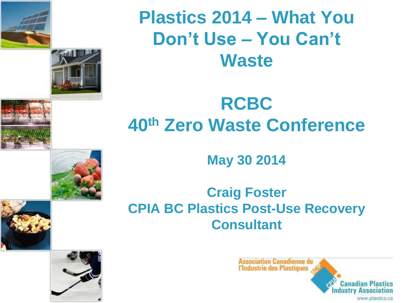



### **Plastics 2014 – What You Don't Use – You Can't Waste**

### **RCBC 40th Zero Waste Conference**

**May 30 2014**

### **Craig Foster CPIA BC Plastics Post-Use Recovery Consultant**



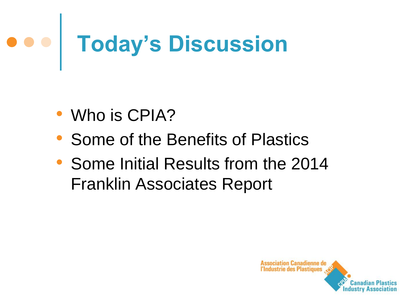# **Today's Discussion**

- Who is CPIA?
- Some of the Benefits of Plastics
- Some Initial Results from the 2014 Franklin Associates Report

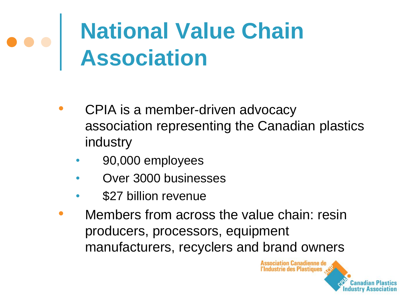# **National Value Chain Association**

- CPIA is a member-driven advocacy association representing the Canadian plastics industry
	- 90,000 employees
	- Over 3000 businesses
	- \$27 billion revenue
- Members from across the value chain: resin producers, processors, equipment manufacturers, recyclers and brand owners

**Association Canadienne de** l'Industrie des Plastiques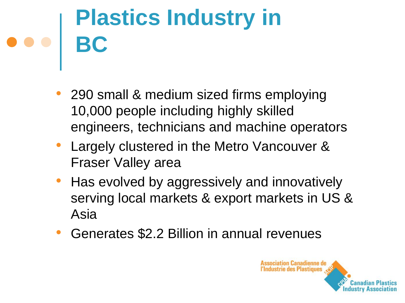# **Plastics Industry in BC**

- 290 small & medium sized firms employing 10,000 people including highly skilled engineers, technicians and machine operators
- Largely clustered in the Metro Vancouver & Fraser Valley area
- Has evolved by aggressively and innovatively serving local markets & export markets in US & Asia
- Generates \$2.2 Billion in annual revenues

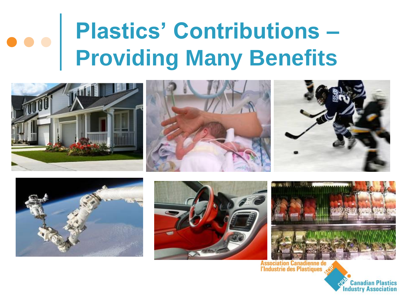# **Plastics' Contributions – Providing Many Benefits**









Association Canadienne de<br>l'Industrie des Plastiques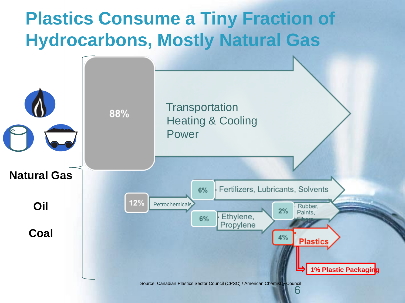### **Plastics Consume a Tiny Fraction of Hydrocarbons, Mostly Natural Gas**

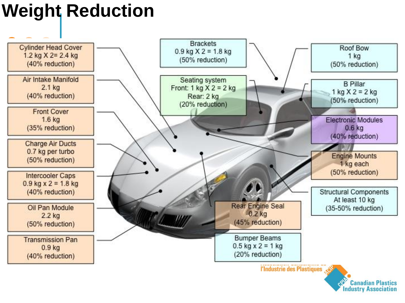### **Weight Reduction**

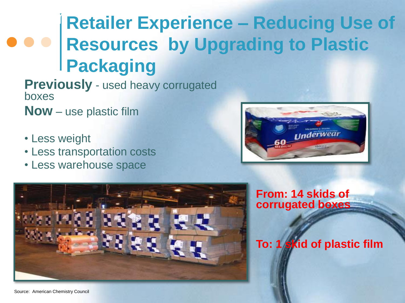### **Example 1 Retailer Experience Retailer Experience – Reducing Use of Resources by Upgrading to Plastic Packaging**

**Previously** - used heavy corrugated boxes

**Now** – use plastic film

- Less weight
- Less transportation costs
- Less warehouse space





**From: 14 skids of corrugated boxes**

#### **To: 1 skid of plastic film**

Source: American Chemistry Council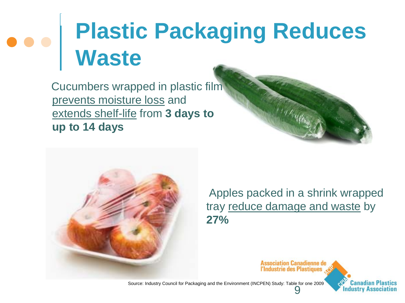# **Plastic Packaging Reduces Waste**

 Cucumbers wrapped in plastic film prevents moisture loss and extends shelf-life from **3 days to up to 14 days**



 Apples packed in a shrink wrapped tray reduce damage and waste by **27%**

> **Association Canadienne de** l'Industrie des Plastiques

9 Source: Industry Council for Packaging and the Environment (INCPEN) Study: Table for one 2009

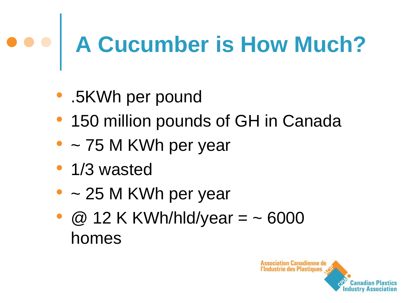# **A Cucumber is How Much?**

- .5KWh per pound
- 150 million pounds of GH in Canada
- $\bullet$  ~ 75 M KWh per year
- 1/3 wasted
- $\bullet$  ~ 25 M KWh per year
- $\omega$  12 K KWh/hld/year =  $\sim$  6000 homes

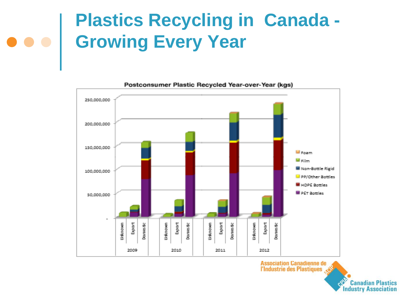## **Plastics Recycling in Canada - Growing Every Year**



Postconsumer Plastic Recycled Year-over-Year (kgs)

Association Canadienne de<br>VIndustrie des Plastiques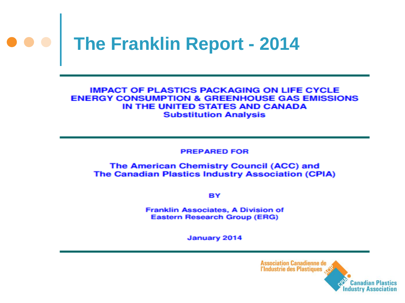

#### **IMPACT OF PLASTICS PACKAGING ON LIFE CYCLE ENERGY CONSUMPTION & GREENHOUSE GAS EMISSIONS** IN THE UNITED STATES AND CANADA **Substitution Analysis**

**PREPARED FOR** 

#### The American Chemistry Council (ACC) and **The Canadian Plastics Industry Association (CPIA)**

BY

Franklin Associates, A Division of **Eastern Research Group (ERG)** 

January 2014

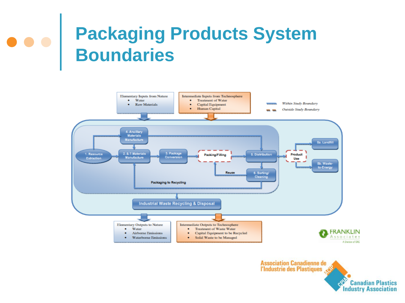## **Packaging Products System Boundaries**



Association Canadienne de<br>L'Industrie des Plastiques CRAFT **Canadian Plastics Industry Association**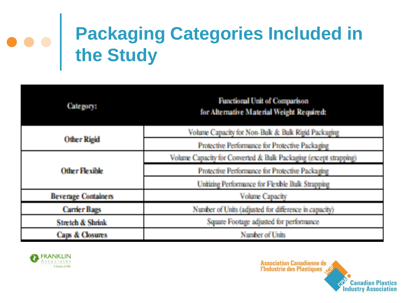# **Packaging Categories Included in the Study**

| <b>Category:</b>            | <b>Functional Unit of Comparison</b><br>for Alternative Material Weight Required: |  |
|-----------------------------|-----------------------------------------------------------------------------------|--|
| <b>Other Rigid</b>          | Volume Capacity for Non-Balk & Balk Rigid Packaging                               |  |
|                             | Protective Performance for Protective Packaging                                   |  |
| <b>Other Flexible</b>       | Volume Capacity for Converted & Bulk Packaging (except strapping)                 |  |
|                             | Protective Performance for Protective Packaging                                   |  |
|                             | Unitizing Performance for Flexible Bulk Strapping                                 |  |
| <b>Beverage Containers</b>  | <b>Volume Capacity</b>                                                            |  |
| <b>Carrier Bags</b>         | Number of Units (adjusted for difference in capacity)                             |  |
| <b>Stretch &amp; Shrink</b> | Square Footage adjusted for performance                                           |  |
| <b>Caps &amp; Closures</b>  | Number of Units                                                                   |  |



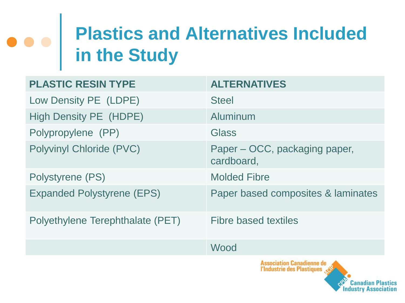# **Plastics and Alternatives Included in the Study**

| <b>PLASTIC RESIN TYPE</b>         | <b>ALTERNATIVES</b>                                                   |
|-----------------------------------|-----------------------------------------------------------------------|
| Low Density PE (LDPE)             | <b>Steel</b>                                                          |
| <b>High Density PE (HDPE)</b>     | Aluminum                                                              |
| Polypropylene (PP)                | Glass                                                                 |
| Polyvinyl Chloride (PVC)          | Paper – OCC, packaging paper,<br>cardboard,                           |
| Polystyrene (PS)                  | <b>Molded Fibre</b>                                                   |
| <b>Expanded Polystyrene (EPS)</b> | Paper based composites & laminates                                    |
| Polyethylene Terephthalate (PET)  | <b>Fibre based textiles</b>                                           |
|                                   | Wood                                                                  |
|                                   | <b>Association Canadienne de</b><br><b>l'Industrie des Plastiques</b> |

**Industry Associa**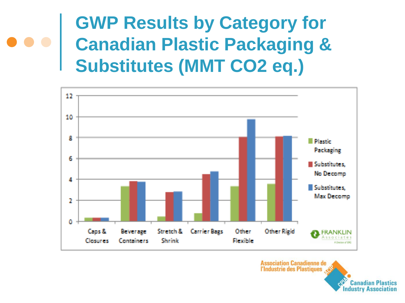### **GWP Results by Category for Canadian Plastic Packaging & Substitutes (MMT CO2 eq.)**



**Association Canadienne de** l'Industrie des Plastiques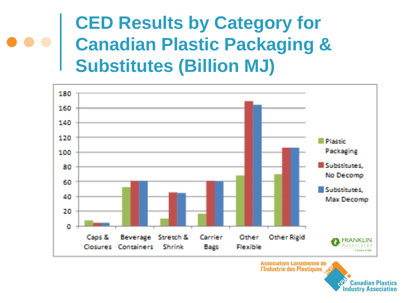### **CED Results by Category for Canadian Plastic Packaging & Substitutes (Billion MJ)**



**Association Canadienne de** l'Industrie des Plastiques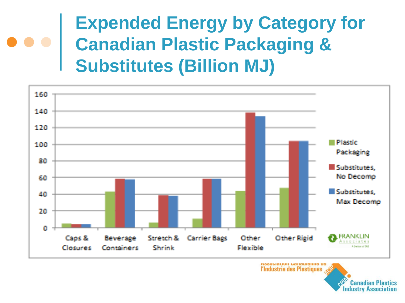### **Expended Energy by Category for Canadian Plastic Packaging & Substitutes (Billion MJ)**



**MOOULIQUUII UQIIQUICIIIIC UC** l'Industrie des Plastiques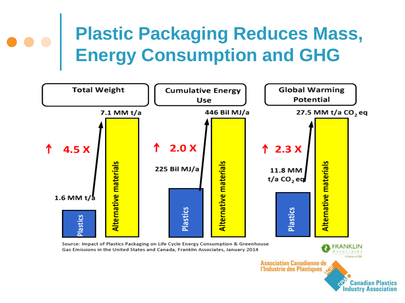# **Plastic Packaging Reduces Mass, Energy Consumption and GHG**



Source: Impact of Plastics Packaging on Life Cycle Energy Consumption & Greenhouse Gas Emissions in the United States and Canada, Franklin Associates, January 2014

> A Division of DAS Association Canadienne de<br>l'Industrie des Plastiques

RANKLIN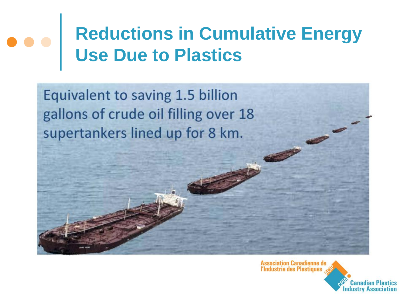# **Reductions in Cumulative Energy Use Due to Plastics**

Equivalent to saving 1.5 billion gallons of crude oil filling over 18 supertankers lined up for 8 km.

Association Canadienne de<br>l'Industrie des Plastiques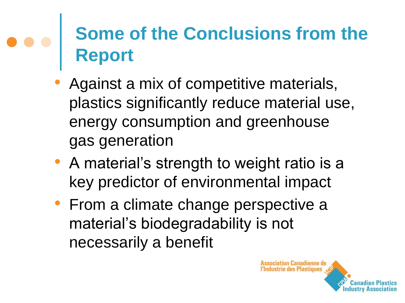### **Some of the Conclusions from the Report**

- Against a mix of competitive materials, plastics significantly reduce material use, energy consumption and greenhouse gas generation
- A material's strength to weight ratio is a key predictor of environmental impact
- From a climate change perspective a material's biodegradability is not necessarily a benefit

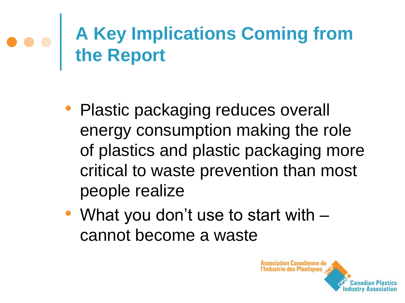# **A Key Implications Coming from the Report**

- Plastic packaging reduces overall energy consumption making the role of plastics and plastic packaging more critical to waste prevention than most people realize
- What you don't use to start with cannot become a waste